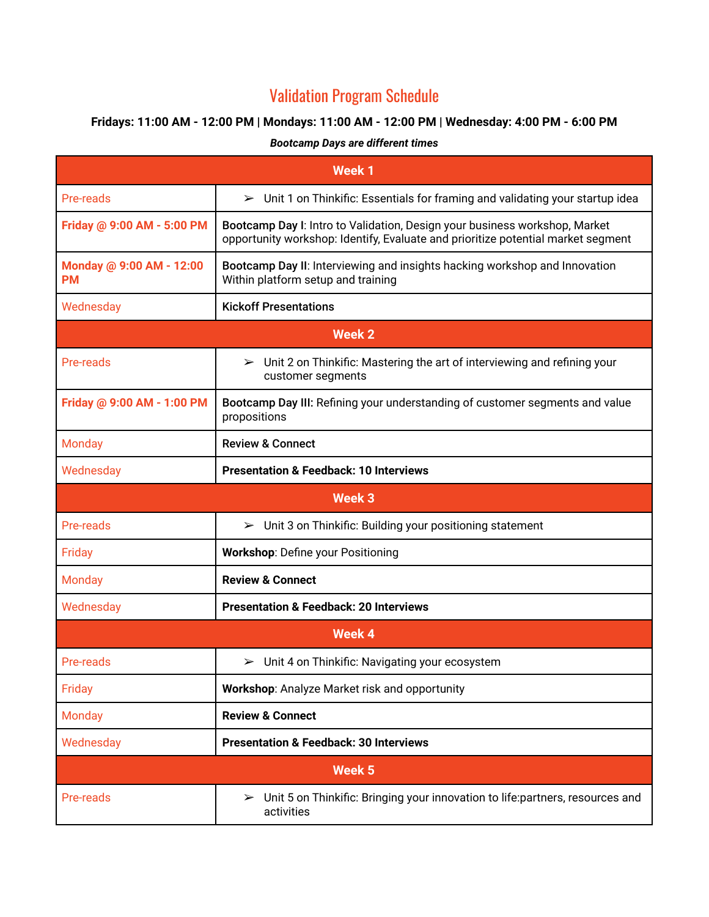## Validation Program Schedule

## **Fridays: 11:00 AM - 12:00 PM | Mondays: 11:00 AM - 12:00 PM | Wednesday: 4:00 PM - 6:00 PM**

## *Bootcamp Days are different times*

| <b>Week1</b>                          |                                                                                                                                                                |  |
|---------------------------------------|----------------------------------------------------------------------------------------------------------------------------------------------------------------|--|
| Pre-reads                             | $\triangleright$ Unit 1 on Thinkific: Essentials for framing and validating your startup idea                                                                  |  |
| Friday @ 9:00 AM - 5:00 PM            | Bootcamp Day I: Intro to Validation, Design your business workshop, Market<br>opportunity workshop: Identify, Evaluate and prioritize potential market segment |  |
| Monday @ 9:00 AM - 12:00<br><b>PM</b> | Bootcamp Day II: Interviewing and insights hacking workshop and Innovation<br>Within platform setup and training                                               |  |
| Wednesday                             | <b>Kickoff Presentations</b>                                                                                                                                   |  |
| Week 2                                |                                                                                                                                                                |  |
| Pre-reads                             | $\triangleright$ Unit 2 on Thinkific: Mastering the art of interviewing and refining your<br>customer segments                                                 |  |
| Friday @ 9:00 AM - 1:00 PM            | Bootcamp Day III: Refining your understanding of customer segments and value<br>propositions                                                                   |  |
| <b>Monday</b>                         | <b>Review &amp; Connect</b>                                                                                                                                    |  |
| Wednesday                             | <b>Presentation &amp; Feedback: 10 Interviews</b>                                                                                                              |  |
| Week <sub>3</sub>                     |                                                                                                                                                                |  |
| Pre-reads                             | $\triangleright$ Unit 3 on Thinkific: Building your positioning statement                                                                                      |  |
| Friday                                | <b>Workshop: Define your Positioning</b>                                                                                                                       |  |
| <b>Monday</b>                         | <b>Review &amp; Connect</b>                                                                                                                                    |  |
| Wednesday                             | <b>Presentation &amp; Feedback: 20 Interviews</b>                                                                                                              |  |
| <b>Week 4</b>                         |                                                                                                                                                                |  |
| Pre-reads                             | $\triangleright$ Unit 4 on Thinkific: Navigating your ecosystem                                                                                                |  |
| Friday                                | Workshop: Analyze Market risk and opportunity                                                                                                                  |  |
| <b>Monday</b>                         | <b>Review &amp; Connect</b>                                                                                                                                    |  |
| Wednesday                             | <b>Presentation &amp; Feedback: 30 Interviews</b>                                                                                                              |  |
| Week <sub>5</sub>                     |                                                                                                                                                                |  |
| Pre-reads                             | Unit 5 on Thinkific: Bringing your innovation to life:partners, resources and<br>$\blacktriangleright$<br>activities                                           |  |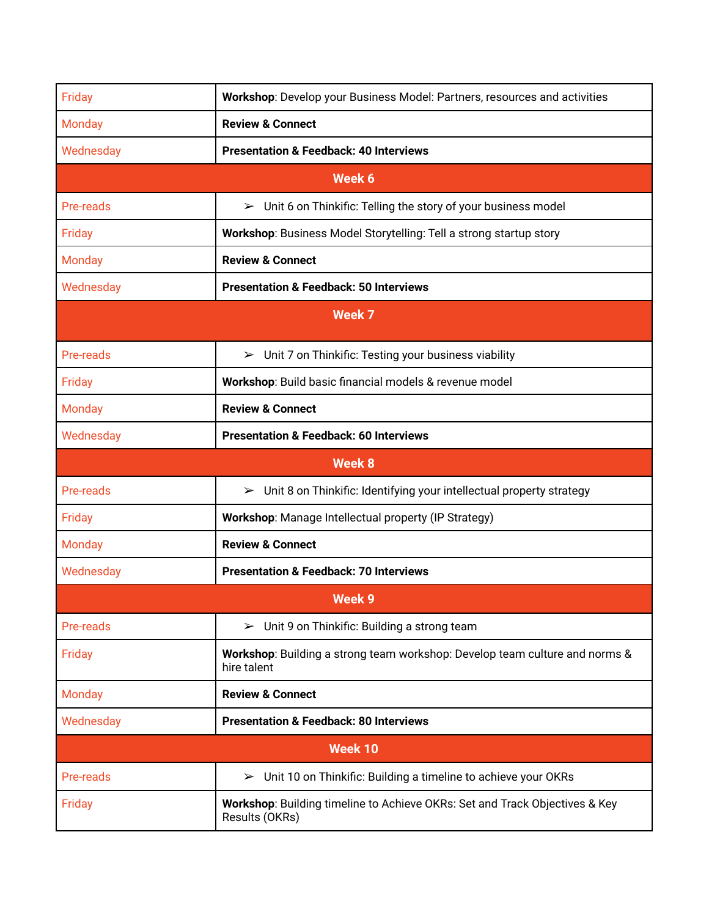| Friday            | Workshop: Develop your Business Model: Partners, resources and activities                         |  |
|-------------------|---------------------------------------------------------------------------------------------------|--|
| <b>Monday</b>     | <b>Review &amp; Connect</b>                                                                       |  |
| Wednesday         | <b>Presentation &amp; Feedback: 40 Interviews</b>                                                 |  |
| Week 6            |                                                                                                   |  |
| Pre-reads         | $\triangleright$ Unit 6 on Thinkific: Telling the story of your business model                    |  |
| Friday            | Workshop: Business Model Storytelling: Tell a strong startup story                                |  |
| <b>Monday</b>     | <b>Review &amp; Connect</b>                                                                       |  |
| Wednesday         | <b>Presentation &amp; Feedback: 50 Interviews</b>                                                 |  |
| Week <sub>7</sub> |                                                                                                   |  |
| Pre-reads         | $\triangleright$ Unit 7 on Thinkific: Testing your business viability                             |  |
| Friday            | Workshop: Build basic financial models & revenue model                                            |  |
| <b>Monday</b>     | <b>Review &amp; Connect</b>                                                                       |  |
| Wednesday         | <b>Presentation &amp; Feedback: 60 Interviews</b>                                                 |  |
| <b>Week 8</b>     |                                                                                                   |  |
| Pre-reads         | Unit 8 on Thinkific: Identifying your intellectual property strategy<br>➤                         |  |
| Friday            | Workshop: Manage Intellectual property (IP Strategy)                                              |  |
| <b>Monday</b>     | <b>Review &amp; Connect</b>                                                                       |  |
| Wednesday         | <b>Presentation &amp; Feedback: 70 Interviews</b>                                                 |  |
| <b>Week 9</b>     |                                                                                                   |  |
| Pre-reads         | $\triangleright$ Unit 9 on Thinkific: Building a strong team                                      |  |
| Friday            | <b>Workshop:</b> Building a strong team workshop: Develop team culture and norms &<br>hire talent |  |
| <b>Monday</b>     | <b>Review &amp; Connect</b>                                                                       |  |
| Wednesday         | <b>Presentation &amp; Feedback: 80 Interviews</b>                                                 |  |
| Week 10           |                                                                                                   |  |
| Pre-reads         | Unit 10 on Thinkific: Building a timeline to achieve your OKRs<br>$\blacktriangleright$           |  |
| Friday            | Workshop: Building timeline to Achieve OKRs: Set and Track Objectives & Key<br>Results (OKRs)     |  |